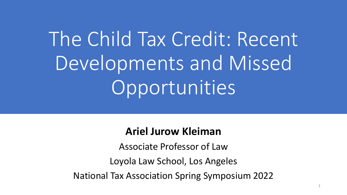# The Child Tax Credit: Recent Developments and Missed Opportunities

#### **Ariel Jurow Kleiman**

Associate Professor of Law Loyola Law School, Los Angeles National Tax Association Spring Symposium 2022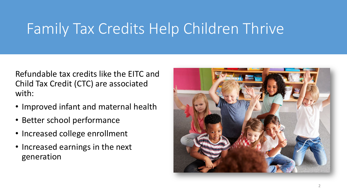# Family Tax Credits Help Children Thrive

Refundable tax credits like the EITC and Child Tax Credit (CTC) are associated with:

- Improved infant and maternal health
- Better school performance
- Increased college enrollment
- Increased earnings in the next generation

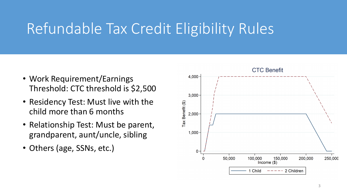# Refundable Tax Credit Eligibility Rules

- Work Requirement/Earnings Threshold: CTC threshold is \$2,500
- Residency Test: Must live with the child more than 6 months
- Relationship Test: Must be parent, grandparent, aunt/uncle, sibling
- Others (age, SSNs, etc.)

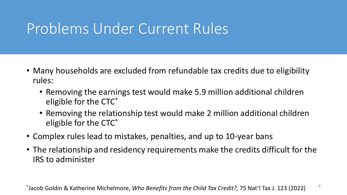#### Problems Under Current Rules

- Many households are excluded from refundable tax credits due to eligibility rules:
	- Removing the earnings test would make 5.9 million additional children eligible for the CTC\*
	- Removing the relationship test would make 2 million additional children eligible for the CTC\*
- Complex rules lead to mistakes, penalties, and up to 10-year bans
- The relationship and residency requirements make the credits difficult for the IRS to administer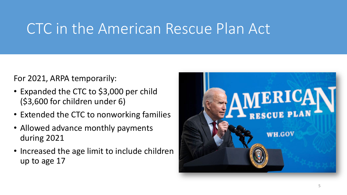#### CTC in the American Rescue Plan Act

For 2021, ARPA temporarily:

- Expanded the CTC to \$3,000 per child (\$3,600 for children under 6)
- Extended the CTC to nonworking families
- Allowed advance monthly payments during 2021
- Increased the age limit to include children up to age 17

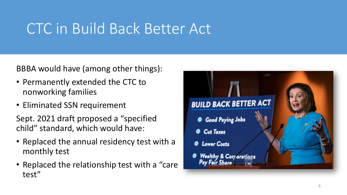### CTC in Build Back Better Act

BBBA would have (among other things):

- Permanently extended the CTC to nonworking families
- Eliminated SSN requirement

Sept. 2021 draft proposed a "specified child" standard, which would have:

- Replaced the annual residency test with a monthly test
- Replaced the relationship test with a "care test"

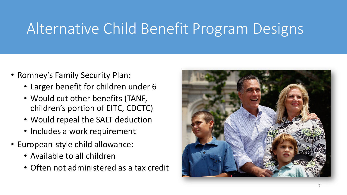# Alternative Child Benefit Program Designs

- Romney's Family Security Plan:
	- Larger benefit for children under 6
	- Would cut other benefits (TANF, children's portion of EITC, CDCTC)
	- Would repeal the SALT deduction
	- Includes a work requirement
- European-style child allowance:
	- Available to all children
	- Often not administered as a tax credit

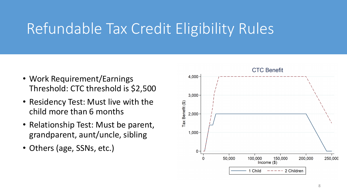# Refundable Tax Credit Eligibility Rules

- Work Requirement/Earnings Threshold: CTC threshold is \$2,500
- Residency Test: Must live with the child more than 6 months
- Relationship Test: Must be parent, grandparent, aunt/uncle, sibling
- Others (age, SSNs, etc.)

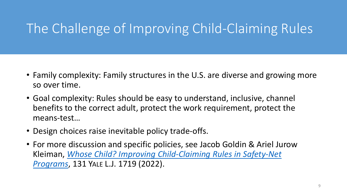#### The Challenge of Improving Child-Claiming Rules

- Family complexity: Family structures in the U.S. are diverse and growing more so over time.
- Goal complexity: Rules should be easy to understand, inclusive, channel benefits to the correct adult, protect the work requirement, protect the means-test…
- Design choices raise inevitable policy trade-offs.
- For more discussion and specific policies, see Jacob Goldin & Ariel Jurow Kleiman, *[Whose Child? Improving Child-Claiming Rules in Safety-Net](https://www.yalelawjournal.org/article/whose-child-is-this)  Programs*, 131 YALE L.J. 1719 (2022).